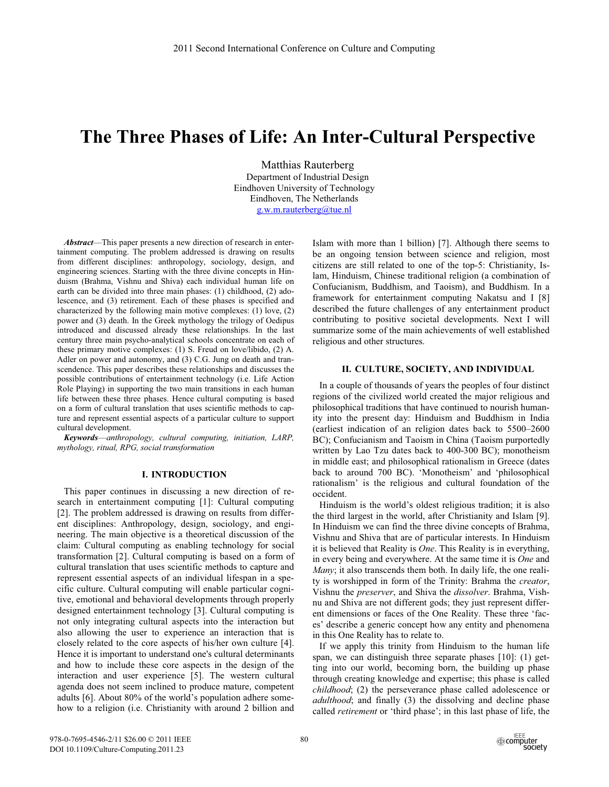# **The Three Phases of Life: An Inter-Cultural Perspective**

Matthias Rauterberg Department of Industrial Design Eindhoven University of Technology Eindhoven, The Netherlands g.w.m.rauterberg@tue.nl

*Abstract*—This paper presents a new direction of research in entertainment computing. The problem addressed is drawing on results from different disciplines: anthropology, sociology, design, and engineering sciences. Starting with the three divine concepts in Hinduism (Brahma, Vishnu and Shiva) each individual human life on earth can be divided into three main phases: (1) childhood, (2) adolescence, and (3) retirement. Each of these phases is specified and characterized by the following main motive complexes: (1) love, (2) power and (3) death. In the Greek mythology the trilogy of Oedipus introduced and discussed already these relationships. In the last century three main psycho-analytical schools concentrate on each of these primary motive complexes: (1) S. Freud on love/libido, (2) A. Adler on power and autonomy, and (3) C.G. Jung on death and transcendence. This paper describes these relationships and discusses the possible contributions of entertainment technology (i.e. Life Action Role Playing) in supporting the two main transitions in each human life between these three phases. Hence cultural computing is based on a form of cultural translation that uses scientific methods to capture and represent essential aspects of a particular culture to support cultural development.

*Keywords*—*anthropology, cultural computing, initiation, LARP, mythology, ritual, RPG, social transformation* 

# **I. INTRODUCTION**

This paper continues in discussing a new direction of research in entertainment computing [1]: Cultural computing [2]. The problem addressed is drawing on results from different disciplines: Anthropology, design, sociology, and engineering. The main objective is a theoretical discussion of the claim: Cultural computing as enabling technology for social transformation [2]. Cultural computing is based on a form of cultural translation that uses scientific methods to capture and represent essential aspects of an individual lifespan in a specific culture. Cultural computing will enable particular cognitive, emotional and behavioral developments through properly designed entertainment technology [3]. Cultural computing is not only integrating cultural aspects into the interaction but also allowing the user to experience an interaction that is closely related to the core aspects of his/her own culture [4]. Hence it is important to understand one's cultural determinants and how to include these core aspects in the design of the interaction and user experience [5]. The western cultural agenda does not seem inclined to produce mature, competent adults [6]. About 80% of the world's population adhere somehow to a religion (i.e. Christianity with around 2 billion and Islam with more than 1 billion) [7]. Although there seems to be an ongoing tension between science and religion, most citizens are still related to one of the top-5: Christianity, Islam, Hinduism, Chinese traditional religion (a combination of Confucianism, Buddhism, and Taoism), and Buddhism. In a framework for entertainment computing Nakatsu and I [8] described the future challenges of any entertainment product contributing to positive societal developments. Next I will summarize some of the main achievements of well established religious and other structures.

### **II. CULTURE, SOCIETY, AND INDIVIDUAL**

In a couple of thousands of years the peoples of four distinct regions of the civilized world created the major religious and philosophical traditions that have continued to nourish humanity into the present day: Hinduism and Buddhism in India (earliest indication of an religion dates back to 5500–2600 BC); Confucianism and Taoism in China (Taoism purportedly written by Lao Tzu dates back to 400-300 BC); monotheism in middle east; and philosophical rationalism in Greece (dates back to around 700 BC). 'Monotheism' and 'philosophical rationalism' is the religious and cultural foundation of the occident.

Hinduism is the world's oldest religious tradition; it is also the third largest in the world, after Christianity and Islam [9]. In Hinduism we can find the three divine concepts of Brahma, Vishnu and Shiva that are of particular interests. In Hinduism it is believed that Reality is *One*. This Reality is in everything, in every being and everywhere. At the same time it is *One* and *Many*; it also transcends them both. In daily life, the one reality is worshipped in form of the Trinity: Brahma the *creator*, Vishnu the *preserver*, and Shiva the *dissolver*. Brahma, Vishnu and Shiva are not different gods; they just represent different dimensions or faces of the One Reality. These three 'faces' describe a generic concept how any entity and phenomena in this One Reality has to relate to.

If we apply this trinity from Hinduism to the human life span, we can distinguish three separate phases [10]: (1) getting into our world, becoming born, the building up phase through creating knowledge and expertise; this phase is called *childhood*; (2) the perseverance phase called adolescence or *adulthood*; and finally (3) the dissolving and decline phase called *retirement* or 'third phase'; in this last phase of life, the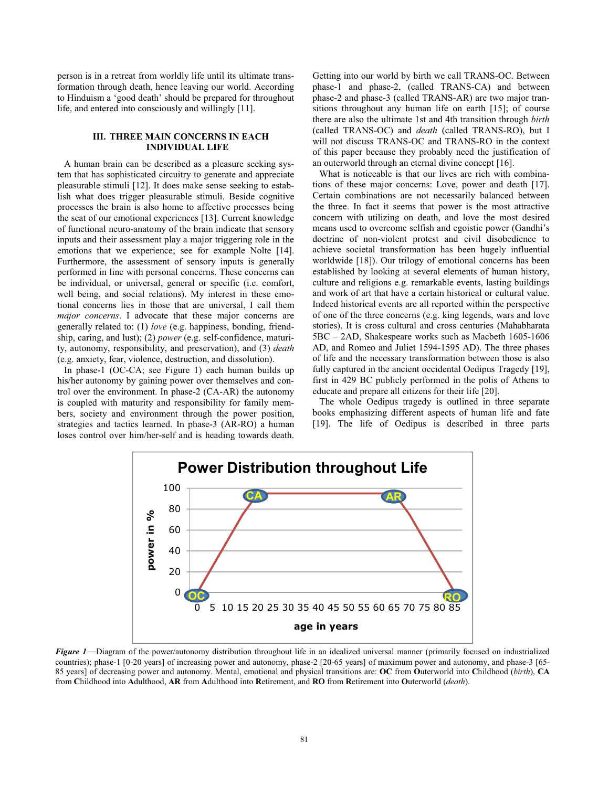person is in a retreat from worldly life until its ultimate transformation through death, hence leaving our world. According to Hinduism a 'good death' should be prepared for throughout life, and entered into consciously and willingly [11].

# **III. THREE MAIN CONCERNS IN EACH INDIVIDUAL LIFE**

A human brain can be described as a pleasure seeking system that has sophisticated circuitry to generate and appreciate pleasurable stimuli [12]. It does make sense seeking to establish what does trigger pleasurable stimuli. Beside cognitive processes the brain is also home to affective processes being the seat of our emotional experiences [13]. Current knowledge of functional neuro-anatomy of the brain indicate that sensory inputs and their assessment play a major triggering role in the emotions that we experience; see for example Nolte [14]. Furthermore, the assessment of sensory inputs is generally performed in line with personal concerns. These concerns can be individual, or universal, general or specific (i.e. comfort, well being, and social relations). My interest in these emotional concerns lies in those that are universal, I call them *major concerns*. I advocate that these major concerns are generally related to: (1) *love* (e.g. happiness, bonding, friendship, caring, and lust); (2) *power* (e.g. self-confidence, maturity, autonomy, responsibility, and preservation), and (3) *death*  (e.g. anxiety, fear, violence, destruction, and dissolution).

In phase-1 (OC-CA; see Figure 1) each human builds up his/her autonomy by gaining power over themselves and control over the environment. In phase-2 (CA-AR) the autonomy is coupled with maturity and responsibility for family members, society and environment through the power position, strategies and tactics learned. In phase-3 (AR-RO) a human loses control over him/her-self and is heading towards death.

Getting into our world by birth we call TRANS-OC. Between phase-1 and phase-2, (called TRANS-CA) and between phase-2 and phase-3 (called TRANS-AR) are two major transitions throughout any human life on earth [15]; of course there are also the ultimate 1st and 4th transition through *birth* (called TRANS-OC) and *death* (called TRANS-RO), but I will not discuss TRANS-OC and TRANS-RO in the context of this paper because they probably need the justification of an outerworld through an eternal divine concept [16].

What is noticeable is that our lives are rich with combinations of these major concerns: Love, power and death [17]. Certain combinations are not necessarily balanced between the three. In fact it seems that power is the most attractive concern with utilizing on death, and love the most desired means used to overcome selfish and egoistic power (Gandhi's doctrine of non-violent protest and civil disobedience to achieve societal transformation has been hugely influential worldwide [18]). Our trilogy of emotional concerns has been established by looking at several elements of human history, culture and religions e.g. remarkable events, lasting buildings and work of art that have a certain historical or cultural value. Indeed historical events are all reported within the perspective of one of the three concerns (e.g. king legends, wars and love stories). It is cross cultural and cross centuries (Mahabharata 5BC – 2AD, Shakespeare works such as Macbeth 1605-1606 AD, and Romeo and Juliet 1594-1595 AD). The three phases of life and the necessary transformation between those is also fully captured in the ancient occidental Oedipus Tragedy [19], first in 429 BC publicly performed in the polis of Athens to educate and prepare all citizens for their life [20].

The whole Oedipus tragedy is outlined in three separate books emphasizing different aspects of human life and fate [19]. The life of Oedipus is described in three parts



*Figure 1*—Diagram of the power/autonomy distribution throughout life in an idealized universal manner (primarily focused on industrialized countries); phase-1 [0-20 years] of increasing power and autonomy, phase-2 [20-65 years] of maximum power and autonomy, and phase-3 [65- 85 years] of decreasing power and autonomy. Mental, emotional and physical transitions are: **OC** from **O**uterworld into **C**hildhood (*birth*), **CA** from **C**hildhood into **A**dulthood, **AR** from **A**dulthood into **R**etirement, and **RO** from **R**etirement into **O**uterworld (*death*).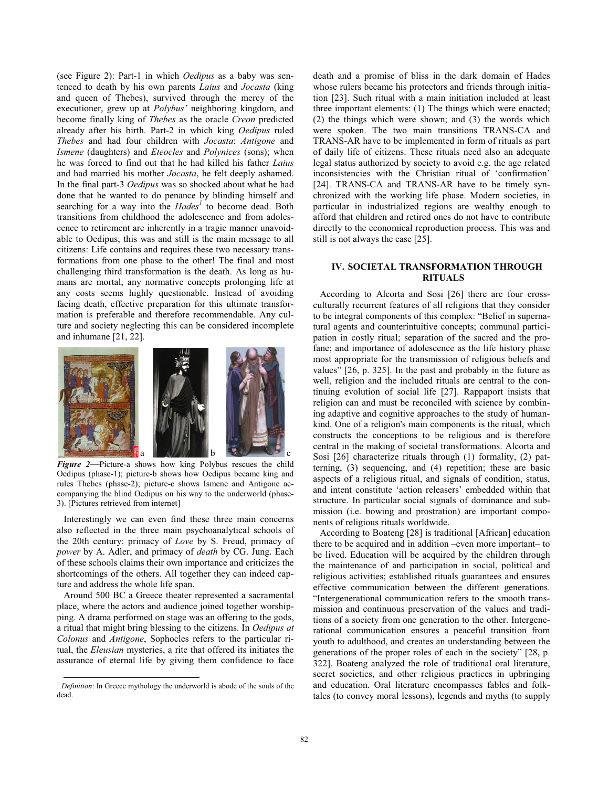(see Figure 2): Part-1 in which *Oedipus* as a baby was sentenced to death by his own parents *Laius* and *Jocasta* (king and queen of Thebes), survived through the mercy of the executioner, grew up at *Polybus'* neighboring kingdom, and become finally king of *Thebes* as the oracle *Creon* predicted already after his birth. Part-2 in which king *Oedipus* ruled *Thebes* and had four children with *Jocasta*: *Antigone* and *Ismene* (daughters) and *Eteocles* and *Polynices* (sons); when he was forced to find out that he had killed his father *Laius* and had married his mother *Jocasta*, he felt deeply ashamed. In the final part-3 *Oedipus* was so shocked about what he had done that he wanted to do penance by blinding himself and searching for a way into the *Hades<sup>1</sup>* to become dead. Both transitions from childhood the adolescence and from adolescence to retirement are inherently in a tragic manner unavoidable to Oedipus; this was and still is the main message to all citizens: Life contains and requires these two necessary transformations from one phase to the other! The final and most challenging third transformation is the death. As long as humans are mortal, any normative concepts prolonging life at any costs seems highly questionable. Instead of avoiding facing death, effective preparation for this ultimate transformation is preferable and therefore recommendable. Any culture and society neglecting this can be considered incomplete and inhumane [21, 22].



*Figure 2*—Picture-a shows how king Polybus rescues the child Oedipus (phase-1); picture-b shows how Oedipus became king and rules Thebes (phase-2); picture-c shows Ismene and Antigone accompanying the blind Oedipus on his way to the underworld (phase-3). [Pictures retrieved from internet]

Interestingly we can even find these three main concerns also reflected in the three main psychoanalytical schools of the 20th century: primacy of *Love* by S. Freud, primacy of *power* by A. Adler, and primacy of *death* by CG. Jung. Each of these schools claims their own importance and criticizes the shortcomings of the others. All together they can indeed capture and address the whole life span.

Around 500 BC a Greece theater represented a sacramental place, where the actors and audience joined together worshipping. A drama performed on stage was an offering to the gods, a ritual that might bring blessing to the citizens. In *Oedipus at Colonus* and *Antigone*, Sophocles refers to the particular ritual, the *Eleusian* mysteries, a rite that offered its initiates the assurance of eternal life by giving them confidence to face death and a promise of bliss in the dark domain of Hades whose rulers became his protectors and friends through initiation [23]. Such ritual with a main initiation included at least three important elements: (1) The things which were enacted; (2) the things which were shown; and (3) the words which were spoken. The two main transitions TRANS-CA and TRANS-AR have to be implemented in form of rituals as part of daily life of citizens. These rituals need also an adequate legal status authorized by society to avoid e.g. the age related inconsistencies with the Christian ritual of 'confirmation' [24]. TRANS-CA and TRANS-AR have to be timely synchronized with the working life phase. Modern societies, in particular in industrialized regions are wealthy enough to afford that children and retired ones do not have to contribute directly to the economical reproduction process. This was and still is not always the case [25].

# **IV. SOCIETAL TRANSFORMATION THROUGH RITUALS**

According to Alcorta and Sosi [26] there are four crossculturally recurrent features of all religions that they consider to be integral components of this complex: "Belief in supernatural agents and counterintuitive concepts; communal participation in costly ritual; separation of the sacred and the profane; and importance of adolescence as the life history phase most appropriate for the transmission of religious beliefs and values" [26, p. 325]. In the past and probably in the future as well, religion and the included rituals are central to the continuing evolution of social life [27]. Rappaport insists that religion can and must be reconciled with science by combining adaptive and cognitive approaches to the study of humankind. One of a religion's main components is the ritual, which constructs the conceptions to be religious and is therefore central in the making of societal transformations. Alcorta and Sosi [26] characterize rituals through (1) formality, (2) patterning, (3) sequencing, and (4) repetition; these are basic aspects of a religious ritual, and signals of condition, status, and intent constitute 'action releasers' embedded within that structure. In particular social signals of dominance and submission (i.e. bowing and prostration) are important components of religious rituals worldwide.

According to Boateng [28] is traditional [African] education there to be acquired and in addition –even more important– to be lived. Education will be acquired by the children through the maintenance of and participation in social, political and religious activities; established rituals guarantees and ensures effective communication between the different generations. "Intergenerational communication refers to the smooth transmission and continuous preservation of the values and traditions of a society from one generation to the other. Intergenerational communication ensures a peaceful transition from youth to adulthood, and creates an understanding between the generations of the proper roles of each in the society" [28, p. 322]. Boateng analyzed the role of traditional oral literature, secret societies, and other religious practices in upbringing and education. Oral literature encompasses fables and folktales (to convey moral lessons), legends and myths (to supply

<sup>&</sup>lt;sup>1</sup> *Definition*: In Greece mythology the underworld is abode of the souls of the dead.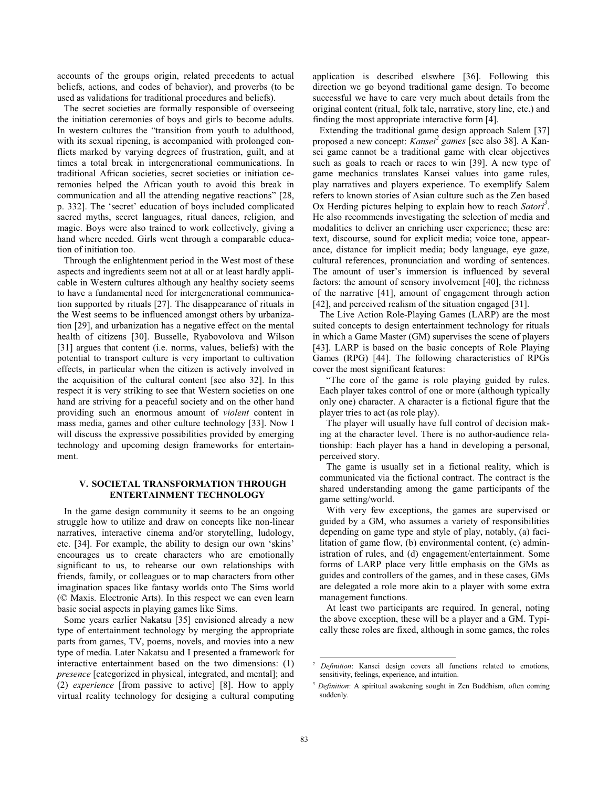accounts of the groups origin, related precedents to actual beliefs, actions, and codes of behavior), and proverbs (to be used as validations for traditional procedures and beliefs).

The secret societies are formally responsible of overseeing the initiation ceremonies of boys and girls to become adults. In western cultures the "transition from youth to adulthood, with its sexual ripening, is accompanied with prolonged conflicts marked by varying degrees of frustration, guilt, and at times a total break in intergenerational communications. In traditional African societies, secret societies or initiation ceremonies helped the African youth to avoid this break in communication and all the attending negative reactions" [28, p. 332]. The 'secret' education of boys included complicated sacred myths, secret languages, ritual dances, religion, and magic. Boys were also trained to work collectively, giving a hand where needed. Girls went through a comparable education of initiation too.

Through the enlightenment period in the West most of these aspects and ingredients seem not at all or at least hardly applicable in Western cultures although any healthy society seems to have a fundamental need for intergenerational communication supported by rituals [27]. The disappearance of rituals in the West seems to be influenced amongst others by urbanization [29], and urbanization has a negative effect on the mental health of citizens [30]. Busselle, Ryabovolova and Wilson [31] argues that content (i.e. norms, values, beliefs) with the potential to transport culture is very important to cultivation effects, in particular when the citizen is actively involved in the acquisition of the cultural content [see also 32]. In this respect it is very striking to see that Western societies on one hand are striving for a peaceful society and on the other hand providing such an enormous amount of *violent* content in mass media, games and other culture technology [33]. Now I will discuss the expressive possibilities provided by emerging technology and upcoming design frameworks for entertainment.

# **V. SOCIETAL TRANSFORMATION THROUGH ENTERTAINMENT TECHNOLOGY**

In the game design community it seems to be an ongoing struggle how to utilize and draw on concepts like non-linear narratives, interactive cinema and/or storytelling, ludology, etc. [34]. For example, the ability to design our own 'skins' encourages us to create characters who are emotionally significant to us, to rehearse our own relationships with friends, family, or colleagues or to map characters from other imagination spaces like fantasy worlds onto The Sims world (© Maxis. Electronic Arts). In this respect we can even learn basic social aspects in playing games like Sims.

Some years earlier Nakatsu [35] envisioned already a new type of entertainment technology by merging the appropriate parts from games, TV, poems, novels, and movies into a new type of media. Later Nakatsu and I presented a framework for interactive entertainment based on the two dimensions: (1) *presence* [categorized in physical, integrated, and mental]; and (2) *experience* [from passive to active] [8]. How to apply virtual reality technology for desiging a cultural computing application is described elswhere [36]. Following this direction we go beyond traditional game design. To become successful we have to care very much about details from the original content (ritual, folk tale, narrative, story line, etc.) and finding the most appropriate interactive form [4].

Extending the traditional game design approach Salem [37] proposed a new concept: *Kansei<sup>2</sup> games* [see also 38]. A Kansei game cannot be a traditional game with clear objectives such as goals to reach or races to win [39]. A new type of game mechanics translates Kansei values into game rules, play narratives and players experience. To exemplify Salem refers to known stories of Asian culture such as the Zen based Ox Herding pictures helping to explain how to reach *Satori*<sup>3</sup>. He also recommends investigating the selection of media and modalities to deliver an enriching user experience; these are: text, discourse, sound for explicit media; voice tone, appearance, distance for implicit media; body language, eye gaze, cultural references, pronunciation and wording of sentences. The amount of user's immersion is influenced by several factors: the amount of sensory involvement [40], the richness of the narrative [41], amount of engagement through action [42], and perceived realism of the situation engaged [31].

The Live Action Role-Playing Games (LARP) are the most suited concepts to design entertainment technology for rituals in which a Game Master (GM) supervises the scene of players [43]. LARP is based on the basic concepts of Role Playing Games (RPG) [44]. The following characteristics of RPGs cover the most significant features:

"The core of the game is role playing guided by rules. Each player takes control of one or more (although typically only one) character. A character is a fictional figure that the player tries to act (as role play).

The player will usually have full control of decision making at the character level. There is no author-audience relationship: Each player has a hand in developing a personal, perceived story.

The game is usually set in a fictional reality, which is communicated via the fictional contract. The contract is the shared understanding among the game participants of the game setting/world.

With very few exceptions, the games are supervised or guided by a GM, who assumes a variety of responsibilities depending on game type and style of play, notably, (a) facilitation of game flow, (b) environmental content, (c) administration of rules, and (d) engagement/entertainment. Some forms of LARP place very little emphasis on the GMs as guides and controllers of the games, and in these cases, GMs are delegated a role more akin to a player with some extra management functions.

At least two participants are required. In general, noting the above exception, these will be a player and a GM. Typically these roles are fixed, although in some games, the roles

 <sup>2</sup> *Definition*: Kansei design covers all functions related to emotions, sensitivity, feelings, experience, and intuition.

<sup>&</sup>lt;sup>3</sup> *Definition*: A spiritual awakening sought in Zen Buddhism, often coming suddenly.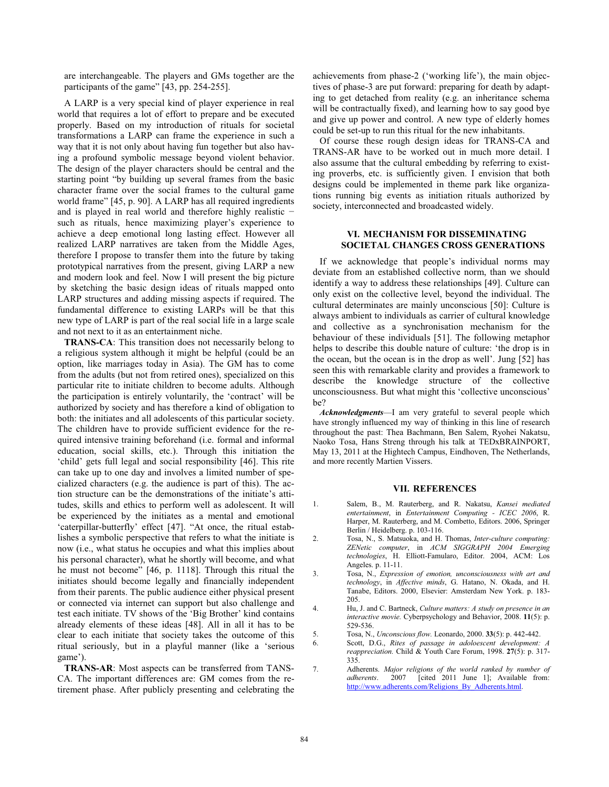are interchangeable. The players and GMs together are the participants of the game" [43, pp. 254-255].

A LARP is a very special kind of player experience in real world that requires a lot of effort to prepare and be executed properly. Based on my introduction of rituals for societal transformations a LARP can frame the experience in such a way that it is not only about having fun together but also having a profound symbolic message beyond violent behavior. The design of the player characters should be central and the starting point "by building up several frames from the basic character frame over the social frames to the cultural game world frame" [45, p. 90]. A LARP has all required ingredients and is played in real world and therefore highly realistic  $$ such as rituals, hence maximizing player's experience to achieve a deep emotional long lasting effect. However all realized LARP narratives are taken from the Middle Ages, therefore I propose to transfer them into the future by taking prototypical narratives from the present, giving LARP a new and modern look and feel. Now I will present the big picture by sketching the basic design ideas of rituals mapped onto LARP structures and adding missing aspects if required. The fundamental difference to existing LARPs will be that this new type of LARP is part of the real social life in a large scale and not next to it as an entertainment niche.

**TRANS-CA**: This transition does not necessarily belong to a religious system although it might be helpful (could be an option, like marriages today in Asia). The GM has to come from the adults (but not from retired ones), specialized on this particular rite to initiate children to become adults. Although the participation is entirely voluntarily, the 'contract' will be authorized by society and has therefore a kind of obligation to both: the initiates and all adolescents of this particular society. The children have to provide sufficient evidence for the required intensive training beforehand (i.e. formal and informal education, social skills, etc.). Through this initiation the 'child' gets full legal and social responsibility [46]. This rite can take up to one day and involves a limited number of specialized characters (e.g. the audience is part of this). The action structure can be the demonstrations of the initiate's attitudes, skills and ethics to perform well as adolescent. It will be experienced by the initiates as a mental and emotional 'caterpillar-butterfly' effect [47]. "At once, the ritual establishes a symbolic perspective that refers to what the initiate is now (i.e., what status he occupies and what this implies about his personal character), what he shortly will become, and what he must not become" [46, p. 1118]. Through this ritual the initiates should become legally and financially independent from their parents. The public audience either physical present or connected via internet can support but also challenge and test each initiate. TV shows of the 'Big Brother' kind contains already elements of these ideas [48]. All in all it has to be clear to each initiate that society takes the outcome of this ritual seriously, but in a playful manner (like a 'serious game').

**TRANS-AR**: Most aspects can be transferred from TANS-CA. The important differences are: GM comes from the retirement phase. After publicly presenting and celebrating the achievements from phase-2 ('working life'), the main objectives of phase-3 are put forward: preparing for death by adapting to get detached from reality (e.g. an inheritance schema will be contractually fixed), and learning how to say good bye and give up power and control. A new type of elderly homes could be set-up to run this ritual for the new inhabitants.

Of course these rough design ideas for TRANS-CA and TRANS-AR have to be worked out in much more detail. I also assume that the cultural embedding by referring to existing proverbs, etc. is sufficiently given. I envision that both designs could be implemented in theme park like organizations running big events as initiation rituals authorized by society, interconnected and broadcasted widely.

# **VI. MECHANISM FOR DISSEMINATING SOCIETAL CHANGES CROSS GENERATIONS**

If we acknowledge that people's individual norms may deviate from an established collective norm, than we should identify a way to address these relationships [49]. Culture can only exist on the collective level, beyond the individual. The cultural determinates are mainly unconscious [50]: Culture is always ambient to individuals as carrier of cultural knowledge and collective as a synchronisation mechanism for the behaviour of these individuals [51]. The following metaphor helps to describe this double nature of culture: 'the drop is in the ocean, but the ocean is in the drop as well'. Jung [52] has seen this with remarkable clarity and provides a framework to describe the knowledge structure of the collective unconsciousness. But what might this 'collective unconscious' be?

*Acknowledgments*—I am very grateful to several people which have strongly influenced my way of thinking in this line of research throughout the past: Thea Bachmann, Ben Salem, Ryohei Nakatsu, Naoko Tosa, Hans Streng through his talk at TEDxBRAINPORT, May 13, 2011 at the Hightech Campus, Eindhoven, The Netherlands, and more recently Martien Vissers.

### **VII. REFERENCES**

- 1. Salem, B., M. Rauterberg, and R. Nakatsu, *Kansei mediated entertainment*, in *Entertainment Computing - ICEC 2006*, R. Harper, M. Rauterberg, and M. Combetto, Editors. 2006, Springer Berlin / Heidelberg. p. 103-116.
- 2. Tosa, N., S. Matsuoka, and H. Thomas, *Inter-culture computing: ZENetic computer*, in *ACM SIGGRAPH 2004 Emerging technologies*, H. Elliott-Famularo, Editor. 2004, ACM: Los Angeles. p. 11-11.
- 3. Tosa, N., *Expression of emotion, unconsciousness with art and technology*, in *Affective minds*, G. Hatano, N. Okada, and H. Tanabe, Editors. 2000, Elsevier: Amsterdam New York. p. 183- 205.
- 4. Hu, J. and C. Bartneck, *Culture matters: A study on presence in an interactive movie.* Cyberpsychology and Behavior, 2008. **11**(5): p. 529-536.
- 5. Tosa, N., *Unconscious flow.* Leonardo, 2000. **33**(5): p. 442-442.
	- 6. Scott, D.G., *Rites of passage in adoloescent development: A reappreciation.* Child & Youth Care Forum, 1998. **27**(5): p. 317- 335.
- 7. Adherents. *Major religions of the world ranked by number of adherents*. 2007 [cited 2011 June 1]; Available from: http://www.adherents.com/Religions\_By\_Adherents.html.